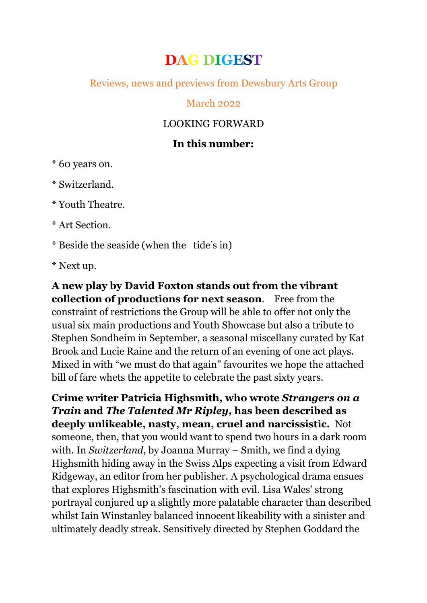# **DAG DIGEST**

Reviews, news and previews from Dewsbury Arts Group

#### March 2022

## LOOKING FORWARD

## **In this number:**

\* 60 years on.

\* Switzerland.

\* Youth Theatre.

\* Art Section.

\* Beside the seaside (when the tide's in)

\* Next up.

**A new play by David Foxton stands out from the vibrant collection of productions for next season**. Free from the constraint of restrictions the Group will be able to offer not only the usual six main productions and Youth Showcase but also a tribute to Stephen Sondheim in September, a seasonal miscellany curated by Kat Brook and Lucie Raine and the return of an evening of one act plays. Mixed in with "we must do that again" favourites we hope the attached bill of fare whets the appetite to celebrate the past sixty years.

**Crime writer Patricia Highsmith, who wrote** *Strangers on a Train* **and** *The Talented Mr Ripley***, has been described as deeply unlikeable, nasty, mean, cruel and narcissistic.** Not someone, then, that you would want to spend two hours in a dark room with. In *Switzerland*, by Joanna Murray – Smith, we find a dying Highsmith hiding away in the Swiss Alps expecting a visit from Edward Ridgeway, an editor from her publisher. A psychological drama ensues that explores Highsmith's fascination with evil. Lisa Wales' strong portrayal conjured up a slightly more palatable character than described whilst Iain Winstanley balanced innocent likeability with a sinister and ultimately deadly streak. Sensitively directed by Stephen Goddard the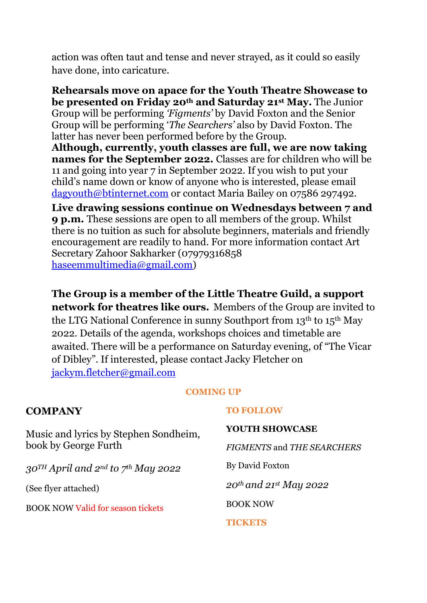action was often taut and tense and never strayed, as it could so easily have done, into caricature.

**Rehearsals move on apace for the Youth Theatre Showcase to be presented on Friday 20th and Saturday 21st May.** The Junior Group will be performing *'Figments'* by David Foxton and the Senior Group will be performing '*The Searchers'* also by David Foxton. The latter has never been performed before by the Group.

**Although, currently, youth classes are full, we are now taking names for the September 2022.** Classes are for children who will be 11 and going into year 7 in September 2022. If you wish to put your child's name down or know of anyone who is interested, please email [dagyouth@btinternet.com](mailto:dagyouth@btinternet.com) or contact Maria Bailey on 07586 297492.

**Live drawing sessions continue on Wednesdays between 7 and 9 p.m.** These sessions are open to all members of the group. Whilst there is no tuition as such for absolute beginners, materials and friendly encouragement are readily to hand. For more information contact Art Secretary Zahoor Sakharker (07979316858 [haseemmultimedia@gmail.com\)](mailto:haseemmultimedia@gmail.com)

**The Group is a member of the Little Theatre Guild, a support network for theatres like ours.** Members of the Group are invited to the LTG National Conference in sunny Southport from 13th to 15th May 2022. Details of the agenda, workshops choices and timetable are awaited. There will be a performance on Saturday evening, of "The Vicar of Dibley". If interested, please contact Jacky Fletcher on [jackym.fletcher@gmail.com](mailto:jackym.fletcher@gmail.com)

#### **COMING UP**

| <b>COMPANY</b>                                                  | <b>TO FOLLOW</b>                                   |
|-----------------------------------------------------------------|----------------------------------------------------|
| Music and lyrics by Stephen Sondheim,<br>book by George Furth   | <b>YOUTH SHOWCASE</b>                              |
|                                                                 | <b>FIGMENTS and THE SEARCHERS</b>                  |
| $30^{TH}$ April and 2 <sup>nd</sup> to 7 <sup>th</sup> May 2022 | By David Foxton                                    |
| (See flyer attached)                                            | $20$ <sup>th</sup> and $21$ <sup>st</sup> May 2022 |
| <b>BOOK NOW Valid for season tickets</b>                        | <b>BOOK NOW</b>                                    |
|                                                                 | TICKETS                                            |